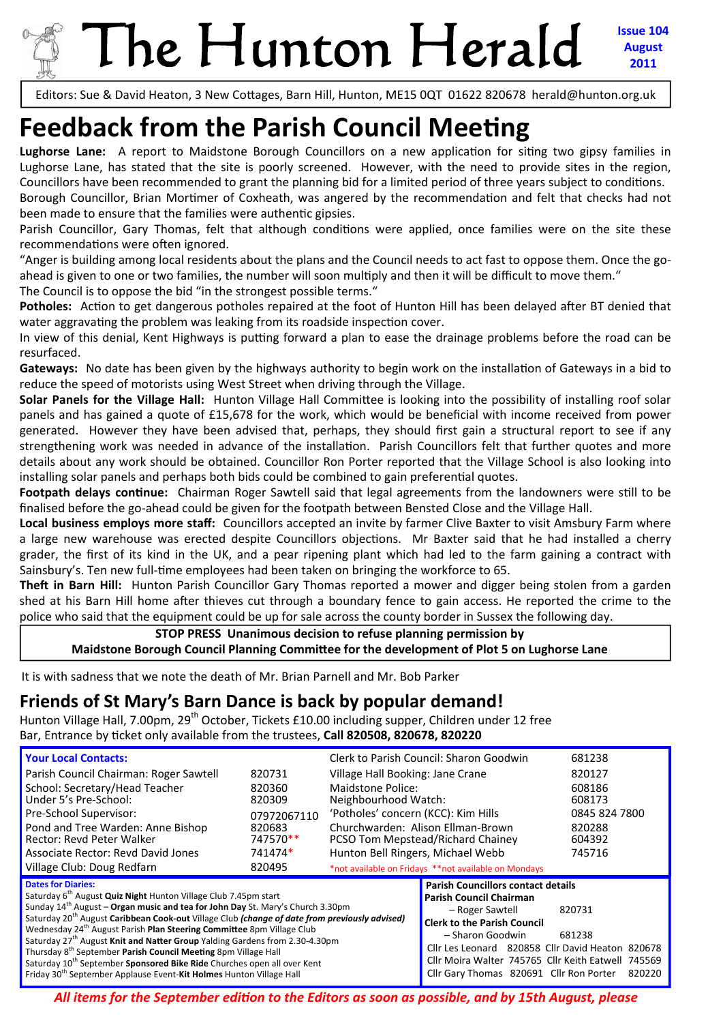# The Hunton Herald

**Issue 104 August 2011**

Editors: Sue & David Heaton, 3 New Cottages, Barn Hill, Hunton, ME15 0QT 01622 820678 herald@hunton.org.uk

# **Feedback from the Parish Council Meeting**

Lughorse Lane: A report to Maidstone Borough Councillors on a new application for siting two gipsy families in Lughorse Lane, has stated that the site is poorly screened. However, with the need to provide sites in the region, Councillors have been recommended to grant the planning bid for a limited period of three years subject to conditions.

Borough Councillor, Brian Mortimer of Coxheath, was angered by the recommendation and felt that checks had not been made to ensure that the families were authentic gipsies.

Parish Councillor, Gary Thomas, felt that although conditions were applied, once families were on the site these recommendations were often ignored.

"Anger is building among local residents about the plans and the Council needs to act fast to oppose them. Once the go‐ ahead is given to one or two families, the number will soon multiply and then it will be difficult to move them."

The Council is to oppose the bid "in the strongest possible terms."

**Potholes:** Action to get dangerous potholes repaired at the foot of Hunton Hill has been delayed after BT denied that water aggravating the problem was leaking from its roadside inspection cover.

In view of this denial, Kent Highways is putting forward a plan to ease the drainage problems before the road can be resurfaced.

Gateways: No date has been given by the highways authority to begin work on the installation of Gateways in a bid to reduce the speed of motorists using West Street when driving through the Village.

**Solar Panels for the Village Hall:** Hunton Village Hall CommiƩee is looking into the possibility of installing roof solar panels and has gained a quote of £15,678 for the work, which would be beneficial with income received from power generated. However they have been advised that, perhaps, they should first gain a structural report to see if any strengthening work was needed in advance of the installation. Parish Councillors felt that further quotes and more details about any work should be obtained. Councillor Ron Porter reported that the Village School is also looking into installing solar panels and perhaps both bids could be combined to gain preferential quotes.

Footpath delays continue: Chairman Roger Sawtell said that legal agreements from the landowners were still to be finalised before the go-ahead could be given for the footpath between Bensted Close and the Village Hall.

**Local business employs more staff:** Councillors accepted an invite by farmer Clive Baxter to visit Amsbury Farm where a large new warehouse was erected despite Councillors objections. Mr Baxter said that he had installed a cherry grader, the first of its kind in the UK, and a pear ripening plant which had led to the farm gaining a contract with Sainsbury's. Ten new full-time employees had been taken on bringing the workforce to 65.

**Theft in Barn Hill:** Hunton Parish Councillor Gary Thomas reported a mower and digger being stolen from a garden shed at his Barn Hill home after thieves cut through a boundary fence to gain access. He reported the crime to the police who said that the equipment could be up for sale across the county border in Sussex the following day.

#### **STOP PRESS Unanimous decision to refuse planning permission by Maidstone Borough Council Planning CommiƩee for the development of Plot 5 on Lughorse Lane**

It is with sadness that we note the death of Mr. Brian Parnell and Mr. Bob Parker

# **Friends of St Mary's Barn Dance is back by popular demand!**

Hunton Village Hall, 7.00pm, 29<sup>th</sup> October, Tickets £10.00 including supper, Children under 12 free Bar, Entrance by Ɵcket only available from the trustees, **Call 820508, 820678, 820220** 

| <b>Your Local Contacts:</b><br>Parish Council Chairman: Roger Sawtell<br>School: Secretary/Head Teacher<br>Under 5's Pre-School:<br>Pre-School Supervisor:<br>Pond and Tree Warden: Anne Bishop<br>Rector: Revd Peter Walker<br>Associate Rector: Revd David Jones<br>Village Club: Doug Redfarn                                                                                                                                                                                                                                                                                                                                                                                                                                                                                  | 820731<br>820360<br>820309<br>07972067110<br>820683<br>747570**<br>741474*<br>820495 | Village Hall Booking: Jane Crane<br>Maidstone Police:<br>Neighbourhood Watch:<br>'Potholes' concern (KCC): Kim Hills<br>Hunton Bell Ringers, Michael Webb | Clerk to Parish Council: Sharon Goodwin<br>Churchwarden: Alison Ellman-Brown<br>PCSO Tom Mepstead/Richard Chainey<br>*not available on Fridays **not available on Mondays                                                                                                                              | 681238<br>820127<br>608186<br>608173<br>0845 824 7800<br>820288<br>604392<br>745716 |
|-----------------------------------------------------------------------------------------------------------------------------------------------------------------------------------------------------------------------------------------------------------------------------------------------------------------------------------------------------------------------------------------------------------------------------------------------------------------------------------------------------------------------------------------------------------------------------------------------------------------------------------------------------------------------------------------------------------------------------------------------------------------------------------|--------------------------------------------------------------------------------------|-----------------------------------------------------------------------------------------------------------------------------------------------------------|--------------------------------------------------------------------------------------------------------------------------------------------------------------------------------------------------------------------------------------------------------------------------------------------------------|-------------------------------------------------------------------------------------|
| <b>Dates for Diaries:</b><br>Saturday 6 <sup>th</sup> August <b>Quiz Night</b> Hunton Village Club 7.45pm start<br>Sunday $14^{\text{th}}$ August – Organ music and tea for John Day St. Mary's Church 3.30pm<br>Saturday 20 <sup>th</sup> August Caribbean Cook-out Village Club (change of date from previously advised)<br>Wednesday 24 <sup>th</sup> August Parish Plan Steering Committee 8pm Village Club<br>Saturday 27 <sup>th</sup> August Knit and Natter Group Yalding Gardens from 2.30-4.30pm<br>Thursday 8 <sup>th</sup> September Parish Council Meeting 8pm Village Hall<br>Saturday 10 <sup>th</sup> September <b>Sponsored Bike Ride</b> Churches open all over Kent<br>Friday 30 <sup>th</sup> September Applause Event- <b>Kit Holmes</b> Hunton Village Hall |                                                                                      |                                                                                                                                                           | <b>Parish Councillors contact details</b><br>Parish Council Chairman<br>- Roger Sawtell<br><b>Clerk to the Parish Council</b><br>- Sharon Goodwin<br>Cllr Les Leonard 820858 Cllr David Heaton 820678<br>Cllr Moira Walter 745765 Cllr Keith Eatwell 745569<br>Cllr Gary Thomas 820691 Cllr Ron Porter | 820731<br>681238<br>820220                                                          |

*All items for the September ediƟon to the Editors as soon as possible, and by 15th August, please*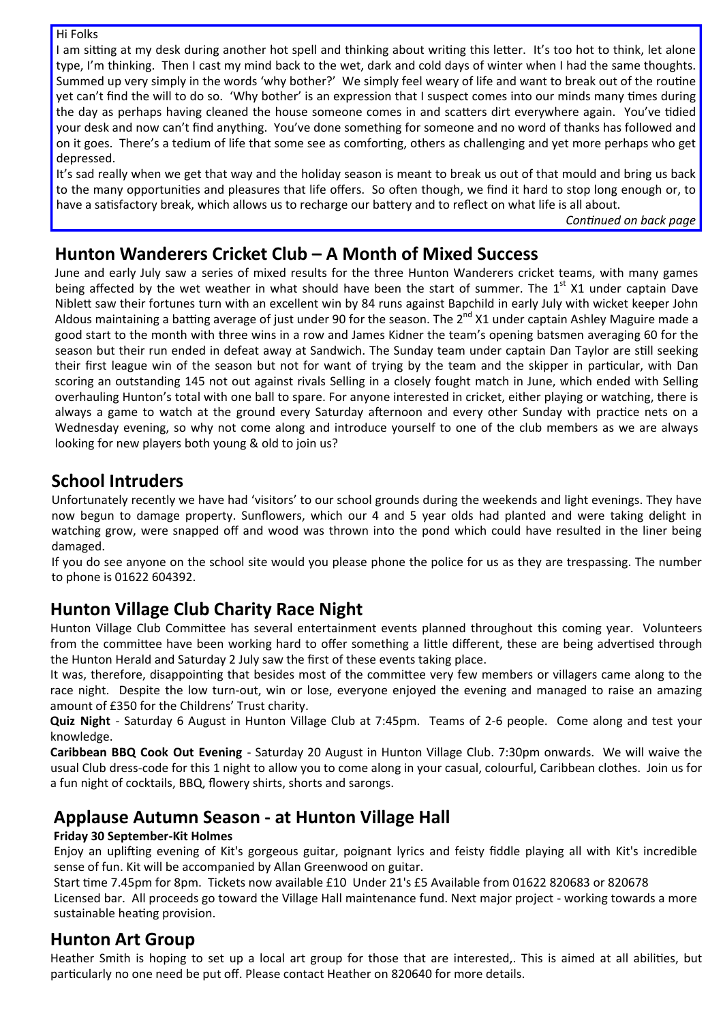Hi Folks

I am sitting at my desk during another hot spell and thinking about writing this letter. It's too hot to think, let alone type, I'm thinking. Then I cast my mind back to the wet, dark and cold days of winter when I had the same thoughts. Summed up very simply in the words 'why bother?' We simply feel weary of life and want to break out of the routine yet can't find the will to do so. 'Why bother' is an expression that I suspect comes into our minds many times during the day as perhaps having cleaned the house someone comes in and scatters dirt everywhere again. You've tidied your desk and now can't find anything. You've done something for someone and no word of thanks has followed and on it goes. There's a tedium of life that some see as comforting, others as challenging and yet more perhaps who get depressed.

It's sad really when we get that way and the holiday season is meant to break us out of that mould and bring us back to the many opportunities and pleasures that life offers. So often though, we find it hard to stop long enough or, to have a satisfactory break, which allows us to recharge our battery and to reflect on what life is all about.

*ConƟnued on back page* 

# **Hunton Wanderers Cricket Club – A Month of Mixed Success**

June and early July saw a series of mixed results for the three Hunton Wanderers cricket teams, with many games being affected by the wet weather in what should have been the start of summer. The 1<sup>st</sup> X1 under captain Dave Niblett saw their fortunes turn with an excellent win by 84 runs against Bapchild in early July with wicket keeper John Aldous maintaining a batting average of just under 90 for the season. The  $2^{nd}$  X1 under captain Ashley Maguire made a good start to the month with three wins in a row and James Kidner the team's opening batsmen averaging 60 for the season but their run ended in defeat away at Sandwich. The Sunday team under captain Dan Taylor are still seeking their first league win of the season but not for want of trying by the team and the skipper in particular, with Dan scoring an outstanding 145 not out against rivals Selling in a closely fought match in June, which ended with Selling overhauling Hunton's total with one ball to spare. For anyone interested in cricket, either playing or watching, there is always a game to watch at the ground every Saturday afternoon and every other Sunday with practice nets on a Wednesday evening, so why not come along and introduce yourself to one of the club members as we are always looking for new players both young & old to join us?

# **School Intruders**

Unfortunately recently we have had 'visitors' to our school grounds during the weekends and light evenings. They have now begun to damage property. Sunflowers, which our 4 and 5 year olds had planted and were taking delight in watching grow, were snapped off and wood was thrown into the pond which could have resulted in the liner being damaged.

If you do see anyone on the school site would you please phone the police for us as they are trespassing. The number to phone is 01622 604392.

# **Hunton Village Club Charity Race Night**

Hunton Village Club Committee has several entertainment events planned throughout this coming year. Volunteers from the committee have been working hard to offer something a little different, these are being advertised through the Hunton Herald and Saturday 2 July saw the first of these events taking place.

It was, therefore, disappointing that besides most of the committee very few members or villagers came along to the race night. Despite the low turn-out, win or lose, everyone enjoyed the evening and managed to raise an amazing amount of £350 for the Childrens' Trust charity.

**Quiz Night** ‐ Saturday 6 August in Hunton Village Club at 7:45pm. Teams of 2‐6 people. Come along and test your knowledge.

**Caribbean BBQ Cook Out Evening** ‐ Saturday 20 August in Hunton Village Club. 7:30pm onwards. We will waive the usual Club dress-code for this 1 night to allow you to come along in your casual, colourful, Caribbean clothes. Join us for a fun night of cocktails, BBQ, flowery shirts, shorts and sarongs.

# **Applause Autumn Season ‐ at Hunton Village Hall**

#### **Friday 30 September‐Kit Holmes**

Enjoy an uplifting evening of Kit's gorgeous guitar, poignant lyrics and feisty fiddle playing all with Kit's incredible sense of fun. Kit will be accompanied by Allan Greenwood on guitar.

Start time 7.45pm for 8pm. Tickets now available £10 Under 21's £5 Available from 01622 820683 or 820678

Licensed bar. All proceeds go toward the Village Hall maintenance fund. Next major project ‐ working towards a more sustainable heating provision.

### **Hunton Art Group**

Heather Smith is hoping to set up a local art group for those that are interested,. This is aimed at all abilities, but particularly no one need be put off. Please contact Heather on 820640 for more details.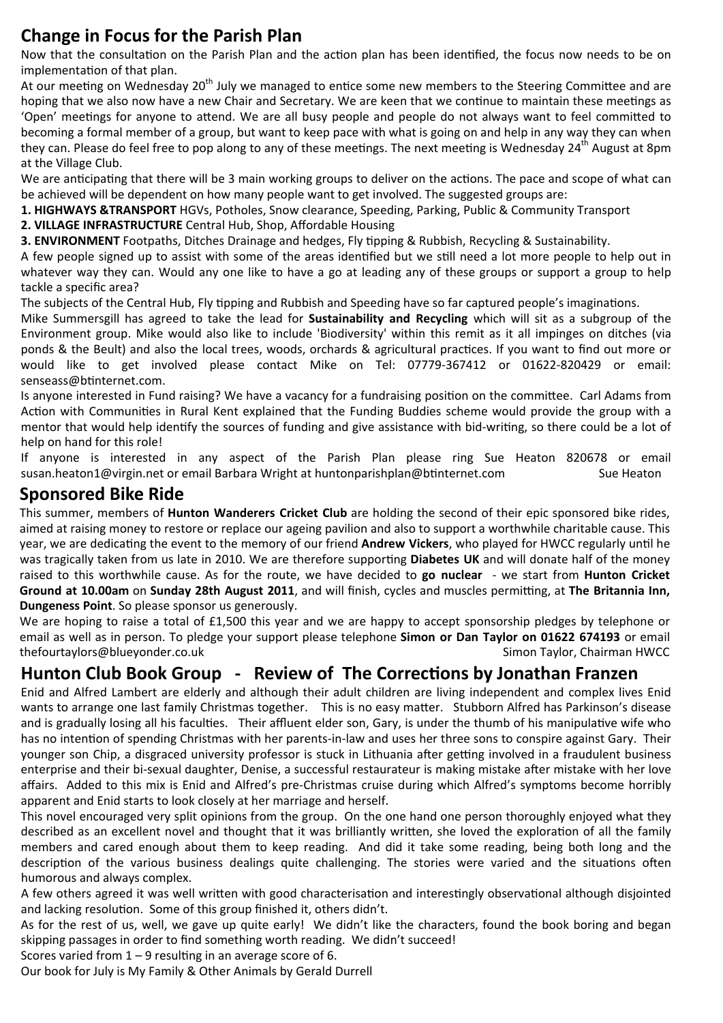# **Change in Focus for the Parish Plan**

Now that the consultation on the Parish Plan and the action plan has been identified, the focus now needs to be on implementation of that plan.

At our meeting on Wednesday 20<sup>th</sup> July we managed to entice some new members to the Steering Committee and are hoping that we also now have a new Chair and Secretary. We are keen that we continue to maintain these meetings as 'Open' meetings for anyone to attend. We are all busy people and people do not always want to feel committed to becoming a formal member of a group, but want to keep pace with what is going on and help in any way they can when they can. Please do feel free to pop along to any of these meetings. The next meeting is Wednesday 24<sup>th</sup> August at 8pm at the Village Club.

We are anticipating that there will be 3 main working groups to deliver on the actions. The pace and scope of what can be achieved will be dependent on how many people want to get involved. The suggested groups are:

**1. HIGHWAYS &TRANSPORT** HGVs, Potholes, Snow clearance, Speeding, Parking, Public & Community Transport

**2. VILLAGE INFRASTRUCTURE** Central Hub, Shop, Affordable Housing

**3. ENVIRONMENT** Footpaths, Ditches Drainage and hedges, Fly tipping & Rubbish, Recycling & Sustainability.

A few people signed up to assist with some of the areas identified but we still need a lot more people to help out in whatever way they can. Would any one like to have a go at leading any of these groups or support a group to help tackle a specific area?

The subjects of the Central Hub, Fly tipping and Rubbish and Speeding have so far captured people's imaginations.

Mike Summersgill has agreed to take the lead for **Sustainability and Recycling** which will sit as a subgroup of the Environment group. Mike would also like to include 'Biodiversity' within this remit as it all impinges on ditches (via ponds & the Beult) and also the local trees, woods, orchards & agricultural practices. If you want to find out more or would like to get involved please contact Mike on Tel: 07779-367412 or 01622-820429 or email: senseass@btinternet.com.

Is anyone interested in Fund raising? We have a vacancy for a fundraising position on the committee. Carl Adams from Action with Communities in Rural Kent explained that the Funding Buddies scheme would provide the group with a mentor that would help identify the sources of funding and give assistance with bid-writing, so there could be a lot of help on hand for this role!

If anyone is interested in any aspect of the Parish Plan please ring Sue Heaton 820678 or email susan.heaton1@virgin.net or email Barbara Wright at huntonparishplan@btinternet.com 
Sue Heaton

# **Sponsored Bike Ride**

This summer, members of **Hunton Wanderers Cricket Club** are holding the second of their epic sponsored bike rides, aimed at raising money to restore or replace our ageing pavilion and also to support a worthwhile charitable cause. This year, we are dedicating the event to the memory of our friend **Andrew Vickers**, who played for HWCC regularly until he was tragically taken from us late in 2010. We are therefore supporting **Diabetes UK** and will donate half of the money raised to this worthwhile cause. As for the route, we have decided to **go nuclear** ‐ we start from **Hunton Cricket Ground at 10.00am** on **Sunday 28th August 2011**, and will finish, cycles and muscles permiƫng, at **The Britannia Inn, Dungeness Point**. So please sponsor us generously.

We are hoping to raise a total of £1,500 this year and we are happy to accept sponsorship pledges by telephone or email as well as in person. To pledge your support please telephone **Simon or Dan Taylor on 01622 674193** or email thefourtaylors@blueyonder.co.uk **bluestion and the set of the set of the set of the set of the set of the set o** 

# **Hunton Club Book Group ‐ Review of The CorrecƟons by Jonathan Franzen**

Enid and Alfred Lambert are elderly and although their adult children are living independent and complex lives Enid wants to arrange one last family Christmas together. This is no easy matter. Stubborn Alfred has Parkinson's disease and is gradually losing all his faculties. Their affluent elder son, Gary, is under the thumb of his manipulative wife who has no intention of spending Christmas with her parents-in-law and uses her three sons to conspire against Gary. Their younger son Chip, a disgraced university professor is stuck in Lithuania after getting involved in a fraudulent business enterprise and their bi-sexual daughter, Denise, a successful restaurateur is making mistake after mistake with her love affairs. Added to this mix is Enid and Alfred's pre‐Christmas cruise during which Alfred's symptoms become horribly apparent and Enid starts to look closely at her marriage and herself.

This novel encouraged very split opinions from the group. On the one hand one person thoroughly enjoyed what they described as an excellent novel and thought that it was brilliantly written, she loved the exploration of all the family members and cared enough about them to keep reading. And did it take some reading, being both long and the description of the various business dealings quite challenging. The stories were varied and the situations often humorous and always complex.

A few others agreed it was well written with good characterisation and interestingly observational although disjointed and lacking resolution. Some of this group finished it, others didn't.

As for the rest of us, well, we gave up quite early! We didn't like the characters, found the book boring and began skipping passages in order to find something worth reading. We didn't succeed!

Scores varied from  $1 - 9$  resulting in an average score of 6.

Our book for July is My Family & Other Animals by Gerald Durrell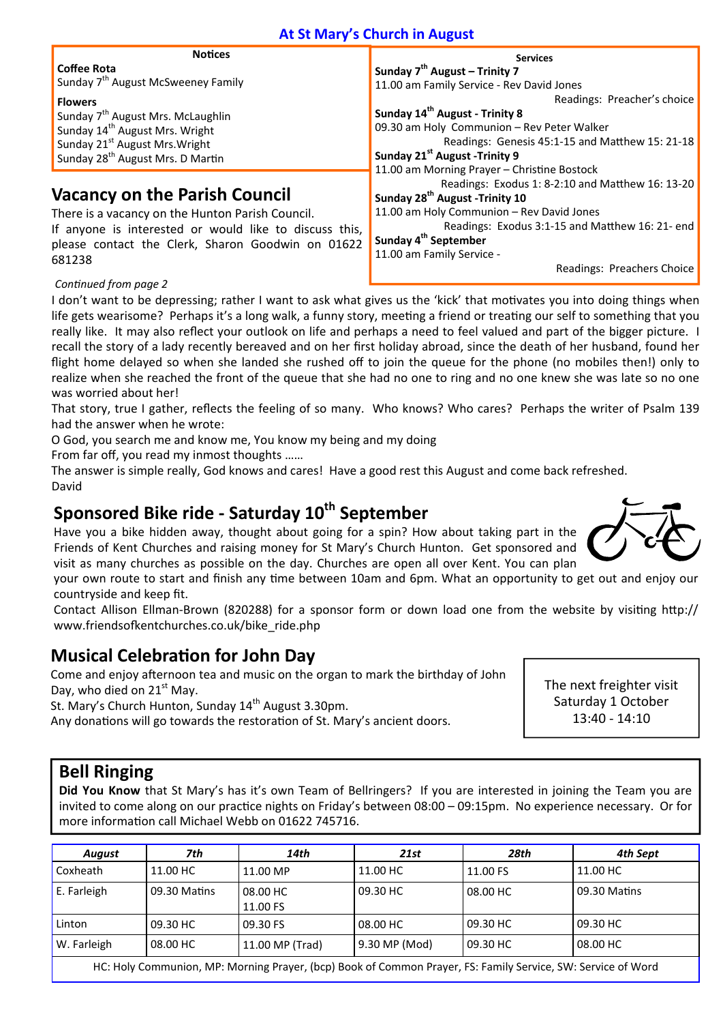#### **At St Mary's Church in August**

| <b>Notices</b>                                         | <b>Services</b>                                  |
|--------------------------------------------------------|--------------------------------------------------|
| <b>Coffee Rota</b>                                     | Sunday $7th$ August – Trinity 7                  |
| Sunday 7 <sup>th</sup> August McSweeney Family         | 11.00 am Family Service - Rev David Jones        |
| <b>Flowers</b>                                         | Readings: Preacher's choice                      |
| Sunday 7 <sup>th</sup> August Mrs. McLaughlin          | Sunday 14 <sup>th</sup> August - Trinity 8       |
| Sunday 14 <sup>th</sup> August Mrs. Wright             | 09.30 am Holy Communion - Rev Peter Walker       |
| Sunday 21 <sup>st</sup> August Mrs. Wright             | Readings: Genesis 45:1-15 and Matthew 15: 21-18  |
| Sunday 28 <sup>th</sup> August Mrs. D Martin           | Sunday 21 <sup>st</sup> August -Trinity 9        |
|                                                        | 11.00 am Morning Prayer - Christine Bostock      |
|                                                        | Readings: Exodus 1: 8-2:10 and Matthew 16: 13-20 |
| <b>Vacancy on the Parish Council</b>                   | Sunday 28 <sup>th</sup> August -Trinity 10       |
| There is a vacancy on the Hunton Parish Council.       | 11.00 am Holy Communion - Rev David Jones        |
| If anyone is interested or would like to discuss this, | Readings: Exodus 3:1-15 and Matthew 16: 21- end  |
| please contact the Clerk, Sharon Goodwin on 01622      | Sunday 4 <sup>th</sup> September                 |

11.00 am Family Service ‐

Readings: Preachers Choice

*ConƟnued from page 2* 

681238

I don't want to be depressing; rather I want to ask what gives us the 'kick' that motivates you into doing things when life gets wearisome? Perhaps it's a long walk, a funny story, meeting a friend or treating our self to something that you really like. It may also reflect your outlook on life and perhaps a need to feel valued and part of the bigger picture. I recall the story of a lady recently bereaved and on her first holiday abroad, since the death of her husband, found her flight home delayed so when she landed she rushed off to join the queue for the phone (no mobiles then!) only to realize when she reached the front of the queue that she had no one to ring and no one knew she was late so no one was worried about her!

That story, true I gather, reflects the feeling of so many. Who knows? Who cares? Perhaps the writer of Psalm 139 had the answer when he wrote:

O God, you search me and know me, You know my being and my doing

From far off, you read my inmost thoughts ……

The answer is simple really, God knows and cares! Have a good rest this August and come back refreshed. David

# **Sponsored Bike ride ‐ Saturday 10th September**

Have you a bike hidden away, thought about going for a spin? How about taking part in the Friends of Kent Churches and raising money for St Mary's Church Hunton. Get sponsored and visit as many churches as possible on the day. Churches are open all over Kent. You can plan

your own route to start and finish any time between 10am and 6pm. What an opportunity to get out and enjoy our countryside and keep fit.

Contact Allison Ellman-Brown (820288) for a sponsor form or down load one from the website by visiting http:// www.friendsofkentchurches.co.uk/bike\_ride.php

# **Musical CelebraƟon for John Day**

Come and enjoy afternoon tea and music on the organ to mark the birthday of John Day, who died on  $21<sup>st</sup>$  May.

St. Mary's Church Hunton, Sunday 14<sup>th</sup> August 3.30pm.

Any donations will go towards the restoration of St. Mary's ancient doors.

The next freighter visit Saturday 1 October 13:40 ‐ 14:10

# **Bell Ringing**

**Did You Know** that St Mary's has it's own Team of Bellringers? If you are interested in joining the Team you are invited to come along on our practice nights on Friday's between  $08:00 - 09:15$ pm. No experience necessary. Or for more information call Michael Webb on 01622 745716.

| <b>August</b>                                                                                     | 7th          | 14th                 | 21st          | 28th     | 4th Sept     |  |
|---------------------------------------------------------------------------------------------------|--------------|----------------------|---------------|----------|--------------|--|
| Coxheath                                                                                          | 11.00 HC     | 11.00 MP             | 11.00 HC      | 11.00 FS | 11.00 HC     |  |
| E. Farleigh                                                                                       | 09.30 Matins | 08.00 HC<br>11.00 FS | 09.30 HC      | 08.00 HC | 09.30 Matins |  |
| Linton                                                                                            | 09.30 HC     | 09.30 FS             | 08.00 HC      | 09.30 HC | 09.30 HC     |  |
| W. Farleigh                                                                                       | 08.00 HC     | 11.00 MP (Trad)      | 9.30 MP (Mod) | 09.30 HC | 08.00 HC     |  |
| HOLILLI, Osanaria LA B. Marchie Brever (La Desles Common Brever FC, Forth Control CM, Control CM) |              |                      |               |          |              |  |

HC: Holy Communion, MP: Morning Prayer, (bcp) Book of Common Prayer, FS: Family Service, SW: Service of Word

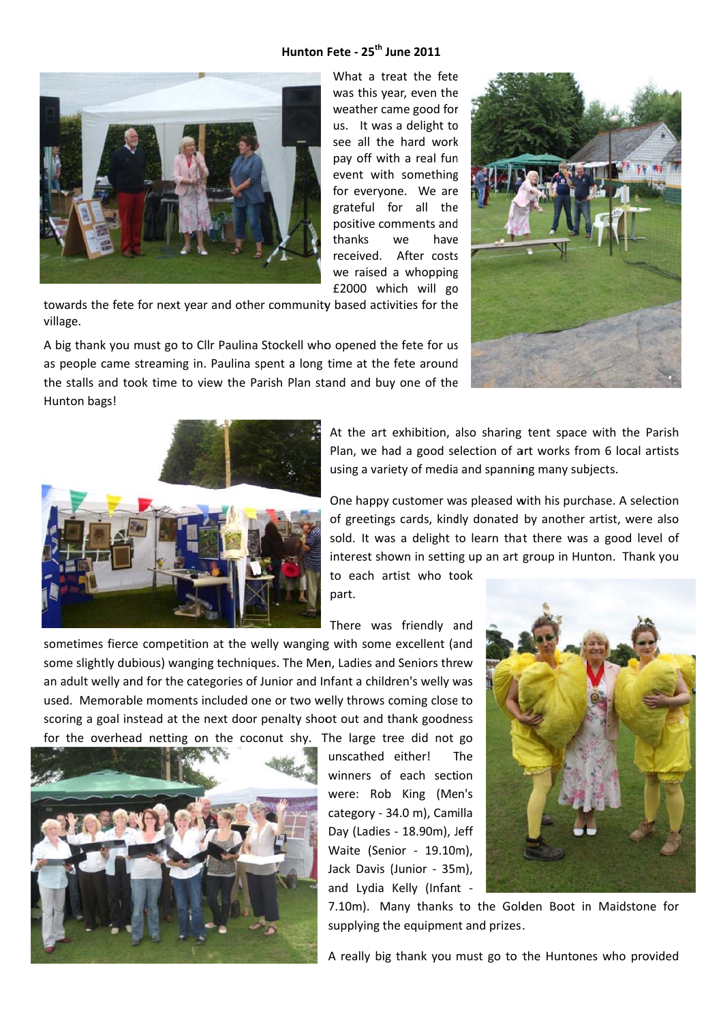#### Hunton Fete - 25<sup>th</sup> June 2011



What a treat the fete was this year, even the weather came good for us. It was a delight to see all the hard work pay off with a real fun event with something for everyone. We are grateful for all the positive comments and have thanks  $W$  $\Theta$ received. After costs we raised a whopping £2000 which will go

towards the fete for next year and other community based activities for the village.

A big thank you must go to Cllr Paulina Stockell who opened the fete for us as people came streaming in. Paulina spent a long time at the fete around the stalls and took time to view the Parish Plan stand and buy one of the Hunton bags!





At the art exhibition, also sharing tent space with the Parish Plan, we had a good selection of art works from 6 local artists using a variety of media and spanning many subjects.

One happy customer was pleased with his purchase. A selection of greetings cards, kindly donated by another artist, were also sold. It was a delight to learn that there was a good level of interest shown in setting up an art group in Hunton. Thank you

to each artist who took part.

There was friendly and

sometimes fierce competition at the welly wanging with some excellent (and some slightly dubious) wanging techniques. The Men, Ladies and Seniors threw an adult welly and for the categories of Junior and Infant a children's welly was used. Memorable moments included one or two welly throws coming close to scoring a goal instead at the next door penalty shoot out and thank goodness for the overhead netting on the coconut shy. The large tree did not go



unscathed either! The winners of each section were: Rob King (Men's category - 34.0 m), Camilla Day (Ladies - 18.90m), Jeff Waite (Senior - 19.10m), Jack Davis (Junior - 35m), and Lydia Kelly (Infant -



7.10m). Many thanks to the Golden Boot in Maidstone for supplying the equipment and prizes.

A really big thank you must go to the Huntones who provided